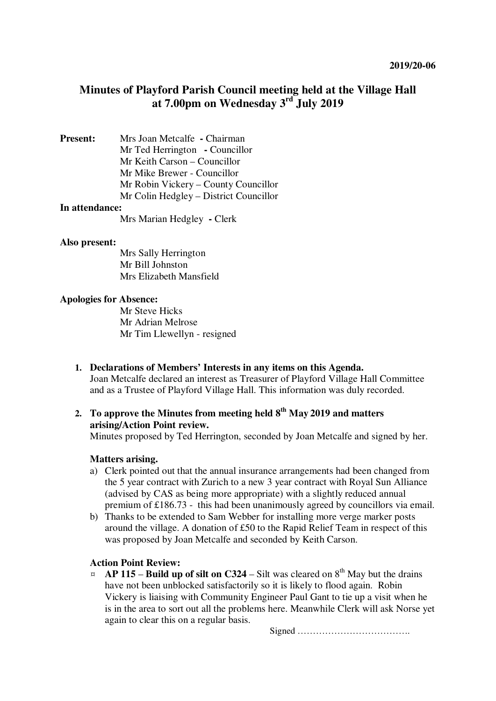# **Minutes of Playford Parish Council meeting held at the Village Hall at 7.00pm on Wednesday 3rd July 2019**

**Present:** Mrs Joan Metcalfe **-** Chairman Mr Ted Herrington **-** Councillor Mr Keith Carson – Councillor Mr Mike Brewer - Councillor Mr Robin Vickery – County Councillor Mr Colin Hedgley – District Councillor

#### **In attendance:**

Mrs Marian Hedgley **-** Clerk

#### **Also present:**

Mrs Sally Herrington Mr Bill Johnston Mrs Elizabeth Mansfield

#### **Apologies for Absence:**

Mr Steve Hicks Mr Adrian Melrose Mr Tim Llewellyn - resigned

**1. Declarations of Members' Interests in any items on this Agenda.**  Joan Metcalfe declared an interest as Treasurer of Playford Village Hall Committee and as a Trustee of Playford Village Hall. This information was duly recorded.

# **2. To approve the Minutes from meeting held 8th May 2019 and matters arising/Action Point review.**

Minutes proposed by Ted Herrington, seconded by Joan Metcalfe and signed by her.

#### **Matters arising.**

- a) Clerk pointed out that the annual insurance arrangements had been changed from the 5 year contract with Zurich to a new 3 year contract with Royal Sun Alliance (advised by CAS as being more appropriate) with a slightly reduced annual premium of £186.73 - this had been unanimously agreed by councillors via email.
- b) Thanks to be extended to Sam Webber for installing more verge marker posts around the village. A donation of £50 to the Rapid Relief Team in respect of this was proposed by Joan Metcalfe and seconded by Keith Carson.

#### **Action Point Review:**

 $\alpha$  **AP 115** – **Build up of silt on C324** – Silt was cleared on  $8<sup>th</sup>$  May but the drains have not been unblocked satisfactorily so it is likely to flood again. Robin Vickery is liaising with Community Engineer Paul Gant to tie up a visit when he is in the area to sort out all the problems here. Meanwhile Clerk will ask Norse yet again to clear this on a regular basis.

Signed ……………………………….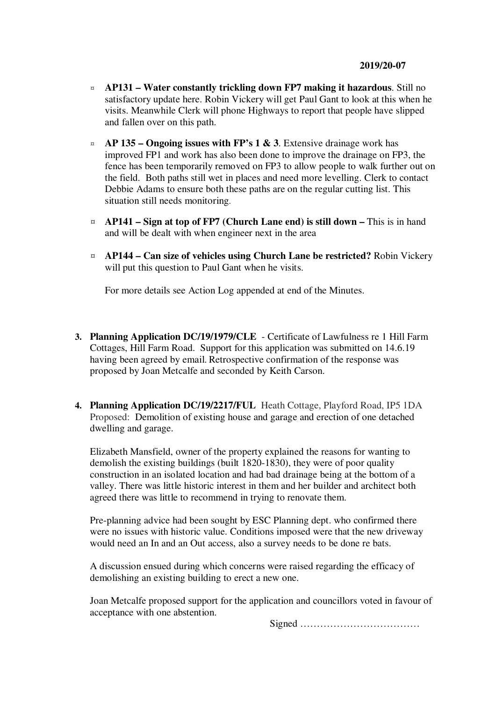- ¤ **AP131 – Water constantly trickling down FP7 making it hazardous**. Still no satisfactory update here. Robin Vickery will get Paul Gant to look at this when he visits. Meanwhile Clerk will phone Highways to report that people have slipped and fallen over on this path.
- $\alpha$  **AP 135 Ongoing issues with FP's 1 & 3**. Extensive drainage work has improved FP1 and work has also been done to improve the drainage on FP3, the fence has been temporarily removed on FP3 to allow people to walk further out on the field. Both paths still wet in places and need more levelling. Clerk to contact Debbie Adams to ensure both these paths are on the regular cutting list. This situation still needs monitoring.
- ¤ **AP141 Sign at top of FP7 (Church Lane end) is still down** This is in hand and will be dealt with when engineer next in the area
- ¤ **AP144 Can size of vehicles using Church Lane be restricted?** Robin Vickery will put this question to Paul Gant when he visits.

For more details see Action Log appended at end of the Minutes.

- **3. Planning Application DC/19/1979/CLE**  Certificate of Lawfulness re 1 Hill Farm Cottages, Hill Farm Road. Support for this application was submitted on 14.6.19 having been agreed by email. Retrospective confirmation of the response was proposed by Joan Metcalfe and seconded by Keith Carson.
- **4. Planning Application DC/19/2217/FUL** Heath Cottage, Playford Road, IP5 1DA Proposed: Demolition of existing house and garage and erection of one detached dwelling and garage.

Elizabeth Mansfield, owner of the property explained the reasons for wanting to demolish the existing buildings (built 1820-1830), they were of poor quality construction in an isolated location and had bad drainage being at the bottom of a valley. There was little historic interest in them and her builder and architect both agreed there was little to recommend in trying to renovate them.

Pre-planning advice had been sought by ESC Planning dept. who confirmed there were no issues with historic value. Conditions imposed were that the new driveway would need an In and an Out access, also a survey needs to be done re bats.

A discussion ensued during which concerns were raised regarding the efficacy of demolishing an existing building to erect a new one.

Joan Metcalfe proposed support for the application and councillors voted in favour of acceptance with one abstention.

Signed ………………………………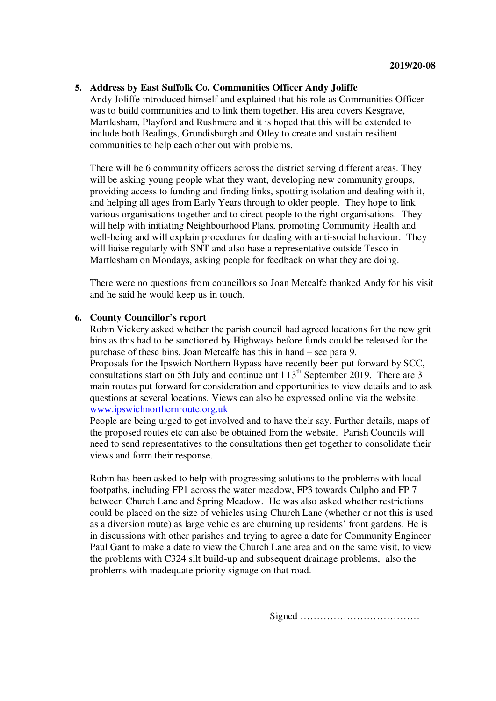### **5. Address by East Suffolk Co. Communities Officer Andy Joliffe**

Andy Joliffe introduced himself and explained that his role as Communities Officer was to build communities and to link them together. His area covers Kesgrave, Martlesham, Playford and Rushmere and it is hoped that this will be extended to include both Bealings, Grundisburgh and Otley to create and sustain resilient communities to help each other out with problems.

There will be 6 community officers across the district serving different areas. They will be asking young people what they want, developing new community groups, providing access to funding and finding links, spotting isolation and dealing with it, and helping all ages from Early Years through to older people. They hope to link various organisations together and to direct people to the right organisations. They will help with initiating Neighbourhood Plans, promoting Community Health and well-being and will explain procedures for dealing with anti-social behaviour. They will liaise regularly with SNT and also base a representative outside Tesco in Martlesham on Mondays, asking people for feedback on what they are doing.

There were no questions from councillors so Joan Metcalfe thanked Andy for his visit and he said he would keep us in touch.

#### **6. County Councillor's report**

Robin Vickery asked whether the parish council had agreed locations for the new grit bins as this had to be sanctioned by Highways before funds could be released for the purchase of these bins. Joan Metcalfe has this in hand – see para 9. Proposals for the Ipswich Northern Bypass have recently been put forward by SCC, consultations start on 5th July and continue until  $13<sup>th</sup>$  September 2019. There are 3 main routes put forward for consideration and opportunities to view details and to ask questions at several locations. Views can also be expressed online via the website: www.ipswichnorthernroute.org.uk

People are being urged to get involved and to have their say. Further details, maps of the proposed routes etc can also be obtained from the website. Parish Councils will need to send representatives to the consultations then get together to consolidate their views and form their response.

Robin has been asked to help with progressing solutions to the problems with local footpaths, including FP1 across the water meadow, FP3 towards Culpho and FP 7 between Church Lane and Spring Meadow. He was also asked whether restrictions could be placed on the size of vehicles using Church Lane (whether or not this is used as a diversion route) as large vehicles are churning up residents' front gardens. He is in discussions with other parishes and trying to agree a date for Community Engineer Paul Gant to make a date to view the Church Lane area and on the same visit, to view the problems with C324 silt build-up and subsequent drainage problems, also the problems with inadequate priority signage on that road.

Signed ………………………………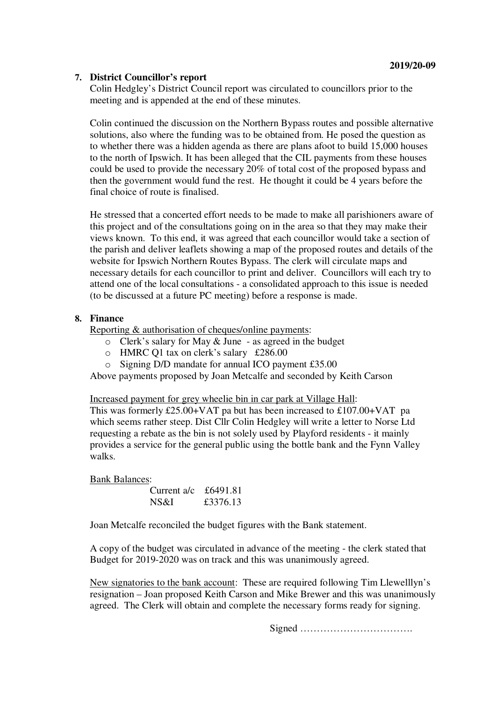# **7. District Councillor's report**

Colin Hedgley's District Council report was circulated to councillors prior to the meeting and is appended at the end of these minutes.

Colin continued the discussion on the Northern Bypass routes and possible alternative solutions, also where the funding was to be obtained from. He posed the question as to whether there was a hidden agenda as there are plans afoot to build 15,000 houses to the north of Ipswich. It has been alleged that the CIL payments from these houses could be used to provide the necessary 20% of total cost of the proposed bypass and then the government would fund the rest. He thought it could be 4 years before the final choice of route is finalised.

He stressed that a concerted effort needs to be made to make all parishioners aware of this project and of the consultations going on in the area so that they may make their views known. To this end, it was agreed that each councillor would take a section of the parish and deliver leaflets showing a map of the proposed routes and details of the website for Ipswich Northern Routes Bypass. The clerk will circulate maps and necessary details for each councillor to print and deliver. Councillors will each try to attend one of the local consultations - a consolidated approach to this issue is needed (to be discussed at a future PC meeting) before a response is made.

# **8. Finance**

Reporting & authorisation of cheques/online payments:

- $\circ$  Clerk's salary for May & June as agreed in the budget
- o HMRC Q1 tax on clerk's salary £286.00
- o Signing D/D mandate for annual ICO payment £35.00

Above payments proposed by Joan Metcalfe and seconded by Keith Carson

Increased payment for grey wheelie bin in car park at Village Hall:

This was formerly £25.00+VAT pa but has been increased to £107.00+VAT pa which seems rather steep. Dist Cllr Colin Hedgley will write a letter to Norse Ltd requesting a rebate as the bin is not solely used by Playford residents - it mainly provides a service for the general public using the bottle bank and the Fynn Valley walks.

# Bank Balances:

| Current $a/c$ | £6491.81 |
|---------------|----------|
| NS&I          | £3376.13 |

Joan Metcalfe reconciled the budget figures with the Bank statement.

A copy of the budget was circulated in advance of the meeting - the clerk stated that Budget for 2019-2020 was on track and this was unanimously agreed.

New signatories to the bank account: These are required following Tim Llewelllyn's resignation – Joan proposed Keith Carson and Mike Brewer and this was unanimously agreed. The Clerk will obtain and complete the necessary forms ready for signing.

Signed …………………………….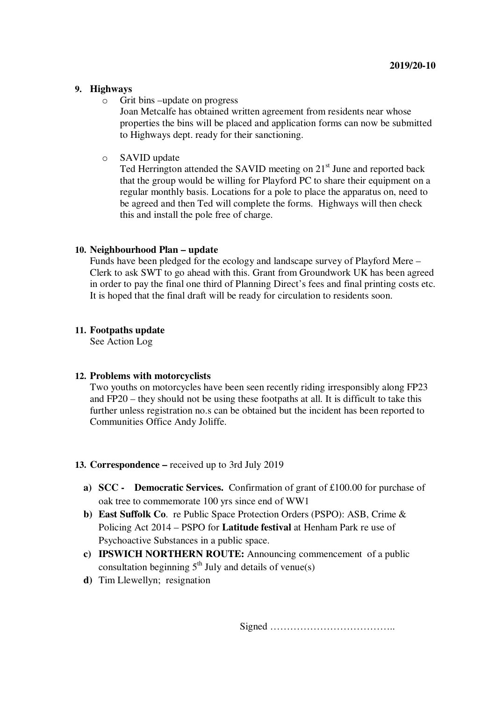### **9. Highways**

o Grit bins –update on progress

Joan Metcalfe has obtained written agreement from residents near whose properties the bins will be placed and application forms can now be submitted to Highways dept. ready for their sanctioning.

o SAVID update

Ted Herrington attended the SAVID meeting on  $21<sup>st</sup>$  June and reported back that the group would be willing for Playford PC to share their equipment on a regular monthly basis. Locations for a pole to place the apparatus on, need to be agreed and then Ted will complete the forms. Highways will then check this and install the pole free of charge.

# **10. Neighbourhood Plan – update**

Funds have been pledged for the ecology and landscape survey of Playford Mere – Clerk to ask SWT to go ahead with this. Grant from Groundwork UK has been agreed in order to pay the final one third of Planning Direct's fees and final printing costs etc. It is hoped that the final draft will be ready for circulation to residents soon.

# **11. Footpaths update**

See Action Log

# **12. Problems with motorcyclists**

Two youths on motorcycles have been seen recently riding irresponsibly along FP23 and FP20 – they should not be using these footpaths at all. It is difficult to take this further unless registration no.s can be obtained but the incident has been reported to Communities Office Andy Joliffe.

# **13. Correspondence –** received up to 3rd July 2019

- **a) SCC Democratic Services.** Confirmation of grant of £100.00 for purchase of oak tree to commemorate 100 yrs since end of WW1
- **b) East Suffolk Co**. re Public Space Protection Orders (PSPO): ASB, Crime & Policing Act 2014 – PSPO for **Latitude festival** at Henham Park re use of Psychoactive Substances in a public space.
- **c) IPSWICH NORTHERN ROUTE:** Announcing commencement of a public consultation beginning  $5<sup>th</sup>$  July and details of venue(s)
- **d)** Tim Llewellyn; resignation

Signed ………………………………..